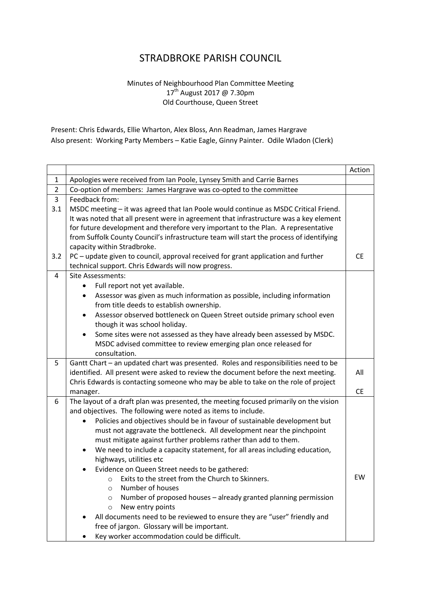## STRADBROKE PARISH COUNCIL

## Minutes of Neighbourhood Plan Committee Meeting 17<sup>th</sup> August 2017 @ 7.30pm Old Courthouse, Queen Street

Present: Chris Edwards, Ellie Wharton, Alex Bloss, Ann Readman, James Hargrave Also present: Working Party Members – Katie Eagle, Ginny Painter. Odile Wladon (Clerk)

|                |                                                                                          | Action    |
|----------------|------------------------------------------------------------------------------------------|-----------|
| $\mathbf{1}$   | Apologies were received from Ian Poole, Lynsey Smith and Carrie Barnes                   |           |
| $\overline{2}$ | Co-option of members: James Hargrave was co-opted to the committee                       |           |
| $\overline{3}$ | Feedback from:                                                                           |           |
| 3.1            | MSDC meeting - it was agreed that Ian Poole would continue as MSDC Critical Friend.      |           |
|                | It was noted that all present were in agreement that infrastructure was a key element    |           |
|                | for future development and therefore very important to the Plan. A representative        |           |
|                | from Suffolk County Council's infrastructure team will start the process of identifying  |           |
|                | capacity within Stradbroke.                                                              |           |
| 3.2            | PC - update given to council, approval received for grant application and further        | <b>CE</b> |
|                | technical support. Chris Edwards will now progress.                                      |           |
| 4              | <b>Site Assessments:</b>                                                                 |           |
|                | Full report not yet available.                                                           |           |
|                | Assessor was given as much information as possible, including information                |           |
|                | from title deeds to establish ownership.                                                 |           |
|                | Assessor observed bottleneck on Queen Street outside primary school even                 |           |
|                | though it was school holiday.                                                            |           |
|                | Some sites were not assessed as they have already been assessed by MSDC.                 |           |
|                | MSDC advised committee to review emerging plan once released for                         |           |
|                | consultation.                                                                            |           |
| 5              | Gantt Chart - an updated chart was presented. Roles and responsibilities need to be      |           |
|                | identified. All present were asked to review the document before the next meeting.       | All       |
|                | Chris Edwards is contacting someone who may be able to take on the role of project       |           |
|                | manager.                                                                                 | <b>CE</b> |
| 6              | The layout of a draft plan was presented, the meeting focused primarily on the vision    |           |
|                | and objectives. The following were noted as items to include.                            |           |
|                | Policies and objectives should be in favour of sustainable development but<br>$\bullet$  |           |
|                | must not aggravate the bottleneck. All development near the pinchpoint                   |           |
|                | must mitigate against further problems rather than add to them.                          |           |
|                | We need to include a capacity statement, for all areas including education,<br>$\bullet$ |           |
|                | highways, utilities etc                                                                  |           |
|                | Evidence on Queen Street needs to be gathered:                                           |           |
|                | Exits to the street from the Church to Skinners.<br>$\circ$                              | EW        |
|                | Number of houses<br>$\circ$                                                              |           |
|                | Number of proposed houses - already granted planning permission<br>$\circ$               |           |
|                | New entry points<br>$\circ$                                                              |           |
|                | All documents need to be reviewed to ensure they are "user" friendly and                 |           |
|                | free of jargon. Glossary will be important.                                              |           |
|                | Key worker accommodation could be difficult.                                             |           |